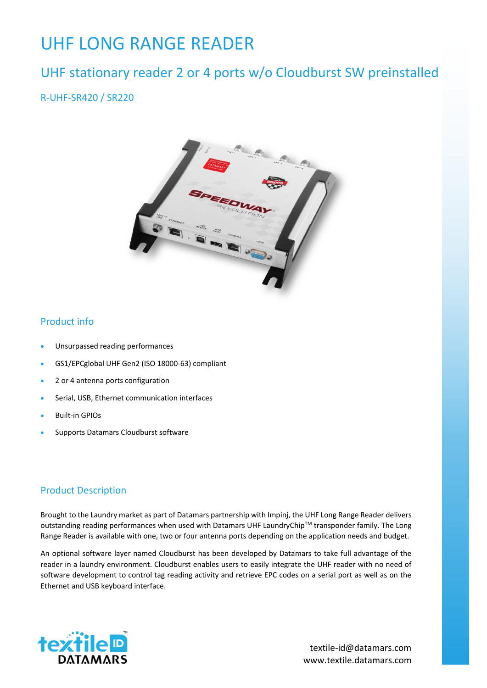# UHF LONG RANGE READER

# UHF stationary reader 2 or 4 ports w/o Cloudburst SW preinstalled

R-UHF-SR420 / SR220



#### Product info

- Unsurpassed reading performances
- GS1/EPCglobal UHF Gen2 (ISO 18000-63) compliant
- 2 or 4 antenna ports configuration
- Serial, USB, Ethernet communication interfaces
- Built-in GPIOs
- Supports Datamars Cloudburst software

#### Product Description

Brought to the Laundry market as part of Datamars partnership with Impinj, the UHF Long Range Reader delivers outstanding reading performances when used with Datamars UHF LaundryChip™ transponder family. The Long Range Reader is available with one, two or four antenna ports depending on the application needs and budget.

An optional software layer named Cloudburst has been developed by Datamars to take full advantage of the reader in a laundry environment. Cloudburst enables users to easily integrate the UHF reader with no need of software development to control tag reading activity and retrieve EPC codes on a serial port as well as on the Ethernet and USB keyboard interface.



www.textile.datamars.com textile-id@datamars.com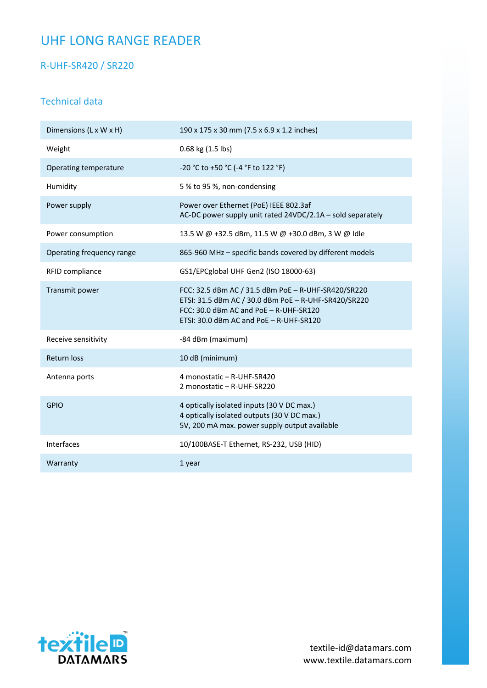# UHF LONG RANGE READER

R-UHF-SR420 / SR220

#### Technical data

| Dimensions (L x W x H)    | 190 x 175 x 30 mm (7.5 x 6.9 x 1.2 inches)                                                                                                                                                       |
|---------------------------|--------------------------------------------------------------------------------------------------------------------------------------------------------------------------------------------------|
| Weight                    | 0.68 kg (1.5 lbs)                                                                                                                                                                                |
| Operating temperature     | -20 °C to +50 °C (-4 °F to 122 °F)                                                                                                                                                               |
| Humidity                  | 5 % to 95 %, non-condensing                                                                                                                                                                      |
| Power supply              | Power over Ethernet (PoE) IEEE 802.3af<br>AC-DC power supply unit rated 24VDC/2.1A - sold separately                                                                                             |
| Power consumption         | 13.5 W @ +32.5 dBm, 11.5 W @ +30.0 dBm, 3 W @ Idle                                                                                                                                               |
| Operating frequency range | 865-960 MHz - specific bands covered by different models                                                                                                                                         |
| RFID compliance           | GS1/EPCglobal UHF Gen2 (ISO 18000-63)                                                                                                                                                            |
| Transmit power            | FCC: 32.5 dBm AC / 31.5 dBm PoE - R-UHF-SR420/SR220<br>ETSI: 31.5 dBm AC / 30.0 dBm PoE - R-UHF-SR420/SR220<br>FCC: 30.0 dBm AC and PoE - R-UHF-SR120<br>ETSI: 30.0 dBm AC and PoE - R-UHF-SR120 |
| Receive sensitivity       | -84 dBm (maximum)                                                                                                                                                                                |
| Return loss               | 10 dB (minimum)                                                                                                                                                                                  |
| Antenna ports             | 4 monostatic - R-UHF-SR420<br>2 monostatic - R-UHF-SR220                                                                                                                                         |
| <b>GPIO</b>               | 4 optically isolated inputs (30 V DC max.)<br>4 optically isolated outputs (30 V DC max.)<br>5V, 200 mA max. power supply output available                                                       |
| Interfaces                | 10/100BASE-T Ethernet, RS-232, USB (HID)                                                                                                                                                         |
| Warranty                  | 1 year                                                                                                                                                                                           |